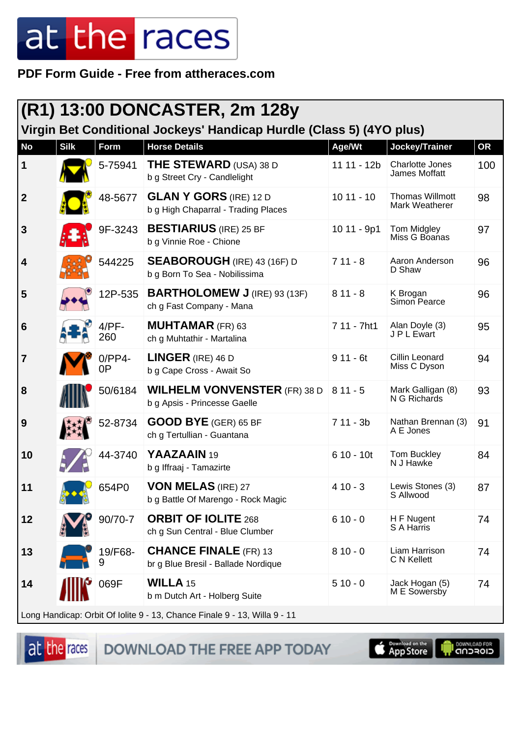**PDF Form Guide - Free from attheraces.com**

|                  |             |                 | (R1) 13:00 DONCASTER, 2m 128y                                                        |             |                                          |           |
|------------------|-------------|-----------------|--------------------------------------------------------------------------------------|-------------|------------------------------------------|-----------|
|                  |             |                 | Virgin Bet Conditional Jockeys' Handicap Hurdle (Class 5) (4YO plus)                 |             |                                          |           |
| <b>No</b>        | <b>Silk</b> | Form            | <b>Horse Details</b>                                                                 | Age/Wt      | Jockey/Trainer                           | <b>OR</b> |
| $\mathbf 1$      |             | 5-75941         | <b>THE STEWARD</b> (USA) 38 D<br>b g Street Cry - Candlelight                        | 11 11 - 12b | Charlotte Jones<br>James Moffatt         | 100       |
| $\boldsymbol{2}$ |             | 48-5677         | <b>GLAN Y GORS</b> (IRE) 12 D<br>b g High Chaparral - Trading Places                 | $1011 - 10$ | <b>Thomas Willmott</b><br>Mark Weatherer | 98        |
| $\mathbf{3}$     |             | 9F-3243         | <b>BESTIARIUS</b> (IRE) 25 BF<br>b g Vinnie Roe - Chione                             | 10 11 - 9p1 | Tom Midgley<br>Miss G Boanas             | 97        |
| 4                |             | 544225          | <b>SEABOROUGH</b> (IRE) 43 (16F) D<br>b g Born To Sea - Nobilissima                  | $711 - 8$   | Aaron Anderson<br>D Shaw                 | 96        |
| 5                |             | 12P-535         | <b>BARTHOLOMEW J (IRE) 93 (13F)</b><br>ch g Fast Company - Mana                      | $811 - 8$   | K Brogan<br>Simon Pearce                 | 96        |
| 6                |             | $4/PF-$<br>260  | <b>MUHTAMAR</b> (FR) 63<br>ch g Muhtathir - Martalina                                | 7 11 - 7ht1 | Alan Doyle (3)<br>J P L Ewart            | 95        |
| 7                |             | $0$ /PP4-<br>0P | <b>LINGER</b> (IRE) 46 D<br>b g Cape Cross - Await So                                | $911 - 6t$  | Cillin Leonard<br>Miss C Dyson           | 94        |
| 8                |             | 50/6184         | <b>WILHELM VONVENSTER</b> (FR) 38 D $\vert$ 8 11 - 5<br>b g Apsis - Princesse Gaelle |             | Mark Galligan (8)<br>N G Richards        | 93        |
| 9                |             | 52-8734         | <b>GOOD BYE</b> (GER) 65 BF<br>ch g Tertullian - Guantana                            | $711 - 3b$  | Nathan Brennan (3)<br>A E Jones          | 91        |
| 10               |             | 44-3740         | YAAZAAIN 19<br>b g Iffraaj - Tamazirte                                               | $610 - 10t$ | Tom Buckley<br>N J Hawke                 | 84        |
| 11               |             | 654P0           | <b>VON MELAS (IRE) 27</b><br>b g Battle Of Marengo - Rock Magic                      | $410 - 3$   | Lewis Stones (3)<br>S Allwood            | 87        |
| 12               |             | 90/70-7         | <b>ORBIT OF IOLITE 268</b><br>ch g Sun Central - Blue Clumber                        | $610 - 0$   | H F Nugent<br>S A Harris                 | 74        |
| 13               |             | 19/F68-<br>9    | <b>CHANCE FINALE</b> (FR) 13<br>br g Blue Bresil - Ballade Nordique                  | $810 - 0$   | Liam Harrison<br>C N Kellett             | 74        |
| 14               |             | 069F            | <b>WILLA 15</b><br>b m Dutch Art - Holberg Suite                                     | $510 - 0$   | Jack Hogan (5)<br>M E Sowersby           | 74        |
|                  |             |                 | Long Handicap: Orbit Of Iolite 9 - 13, Chance Finale 9 - 13, Willa 9 - 11            |             |                                          |           |

at the races

DOWNLOAD THE FREE APP TODAY

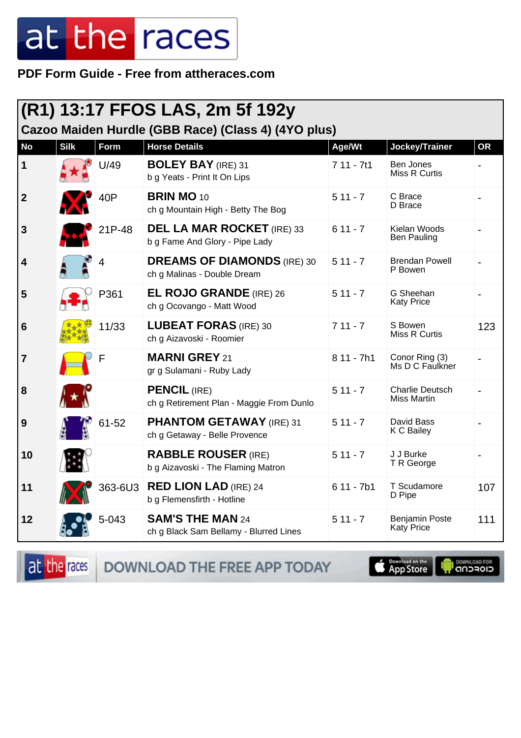PDF Form Guide - Free from attheraces.com

|                  | (R1) 13:17 FFOS LAS, 2m 5f 192y<br>Cazoo Maiden Hurdle (GBB Race) (Class 4) (4YO plus) |                |                                                                     |             |                                       |           |  |
|------------------|----------------------------------------------------------------------------------------|----------------|---------------------------------------------------------------------|-------------|---------------------------------------|-----------|--|
| <b>No</b>        | <b>Silk</b>                                                                            | Form           | <b>Horse Details</b>                                                | Age/Wt      | Jockey/Trainer                        | <b>OR</b> |  |
| 1                |                                                                                        | U/49           | <b>BOLEY BAY (IRE) 31</b><br>b g Yeats - Print It On Lips           | $711 - 7t1$ | Ben Jones<br>Miss R Curtis            |           |  |
| $\boldsymbol{2}$ |                                                                                        | 40P            | <b>BRIN MO 10</b><br>ch g Mountain High - Betty The Bog             | $511 - 7$   | C Brace<br>D Brace                    |           |  |
| 3                |                                                                                        | 21P-48         | <b>DEL LA MAR ROCKET</b> (IRE) 33<br>b g Fame And Glory - Pipe Lady | $611 - 7$   | Kielan Woods<br><b>Ben Pauling</b>    |           |  |
| 4                |                                                                                        | $\overline{4}$ | <b>DREAMS OF DIAMONDS (IRE) 30</b><br>ch g Malinas - Double Dream   | $511 - 7$   | <b>Brendan Powell</b><br>P Bowen      |           |  |
| 5                |                                                                                        | P361           | <b>EL ROJO GRANDE</b> (IRE) 26<br>ch g Ocovango - Matt Wood         | $511 - 7$   | G Sheehan<br><b>Katy Price</b>        |           |  |
| 6                |                                                                                        | 11/33          | <b>LUBEAT FORAS (IRE) 30</b><br>ch g Aizavoski - Roomier            | $711 - 7$   | S Bowen<br>Miss R Curtis              | 123       |  |
| 7                |                                                                                        | F              | <b>MARNI GREY 21</b><br>gr g Sulamani - Ruby Lady                   | $811 - 7h1$ | Conor Ring (3)<br>Ms D C Faulkner     |           |  |
| 8                |                                                                                        |                | <b>PENCIL (IRE)</b><br>ch g Retirement Plan - Maggie From Dunlo     | $511 - 7$   | <b>Charlie Deutsch</b><br>Miss Martin |           |  |
| 9                |                                                                                        | 61-52          | <b>PHANTOM GETAWAY (IRE) 31</b><br>ch g Getaway - Belle Provence    | $511 - 7$   | David Bass<br>K C Bailey              |           |  |
| 10               |                                                                                        |                | <b>RABBLE ROUSER (IRE)</b><br>b g Aizavoski - The Flaming Matron    | $511 - 7$   | J J Burke<br>T R George               |           |  |
| 11               |                                                                                        | 363-6U3        | <b>RED LION LAD (IRE) 24</b><br>b g Flemensfirth - Hotline          | $611 - 7b1$ | T Scudamore<br>D Pipe                 | 107       |  |
| 12               |                                                                                        | 5-043          | <b>SAM'S THE MAN 24</b><br>ch g Black Sam Bellamy - Blurred Lines   | $511 - 7$   | <b>Benjamin Poste</b><br>Katy Price   | 111       |  |

DOWNLOAD THE FREE APP TODAY at the races

App Store

**IN DOWNLOAD FOR**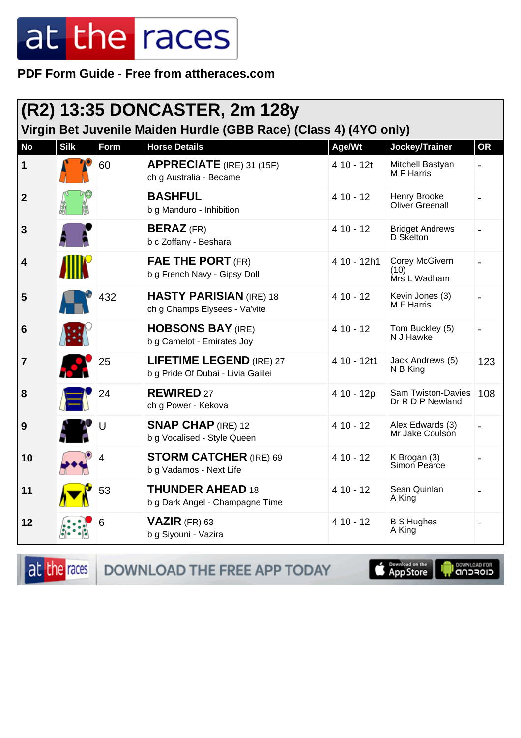**PDF Form Guide - Free from attheraces.com**

| (R2) 13:35 DONCASTER, 2m 128y<br>Virgin Bet Juvenile Maiden Hurdle (GBB Race) (Class 4) (4YO only) |             |      |                                                                       |             |                                        |           |  |
|----------------------------------------------------------------------------------------------------|-------------|------|-----------------------------------------------------------------------|-------------|----------------------------------------|-----------|--|
| <b>No</b>                                                                                          | <b>Silk</b> | Form | <b>Horse Details</b>                                                  | Age/Wt      | Jockey/Trainer                         | <b>OR</b> |  |
| 1                                                                                                  |             | 60   | <b>APPRECIATE</b> (IRE) 31 (15F)<br>ch g Australia - Became           | 4 10 - 12t  | Mitchell Bastyan<br>M F Harris         |           |  |
| $\boldsymbol{2}$                                                                                   |             |      | <b>BASHFUL</b><br>b g Manduro - Inhibition                            | $410 - 12$  | Henry Brooke<br>Oliver Greenall        |           |  |
| 3                                                                                                  |             |      | <b>BERAZ</b> (FR)<br>b c Zoffany - Beshara                            | $410 - 12$  | <b>Bridget Andrews</b><br>D Skelton    |           |  |
| 4                                                                                                  |             |      | <b>FAE THE PORT (FR)</b><br>b g French Navy - Gipsy Doll              | 4 10 - 12h1 | Corey McGivern<br>(10)<br>Mrs L Wadham |           |  |
| 5                                                                                                  |             | 432  | <b>HASTY PARISIAN (IRE) 18</b><br>ch g Champs Elysees - Va'vite       | $410 - 12$  | Kevin Jones (3)<br>M F Harris          |           |  |
| 6                                                                                                  |             |      | <b>HOBSONS BAY (IRE)</b><br>b g Camelot - Emirates Joy                | $410 - 12$  | Tom Buckley (5)<br>N J Hawke           |           |  |
| 7                                                                                                  |             | 25   | <b>LIFETIME LEGEND (IRE) 27</b><br>b g Pride Of Dubai - Livia Galilei | 4 10 - 12t1 | Jack Andrews (5)<br>N B King           | 123       |  |
| 8                                                                                                  |             | 24   | <b>REWIRED 27</b><br>ch g Power - Kekova                              | 4 10 - 12p  | Sam Twiston-Davies<br>Dr R D P Newland | 108       |  |
| 9                                                                                                  |             | U    | <b>SNAP CHAP (IRE) 12</b><br>b g Vocalised - Style Queen              | $410 - 12$  | Alex Edwards (3)<br>Mr Jake Coulson    |           |  |
| 10                                                                                                 |             | 4    | <b>STORM CATCHER (IRE) 69</b><br>b g Vadamos - Next Life              | $410 - 12$  | K Brogan (3)<br><b>Simon Pearce</b>    |           |  |
| 11                                                                                                 |             | 53   | <b>THUNDER AHEAD 18</b><br>b g Dark Angel - Champagne Time            | $410 - 12$  | Sean Quinlan<br>A King                 |           |  |
| 12                                                                                                 |             | 6    | <b>VAZIR</b> (FR) 63<br>b g Siyouni - Vazira                          | $410 - 12$  | <b>B S Hughes</b><br>A King            |           |  |

**SOMNLOAD FOR** 

at the races App Store DOWNLOAD THE FREE APP TODAY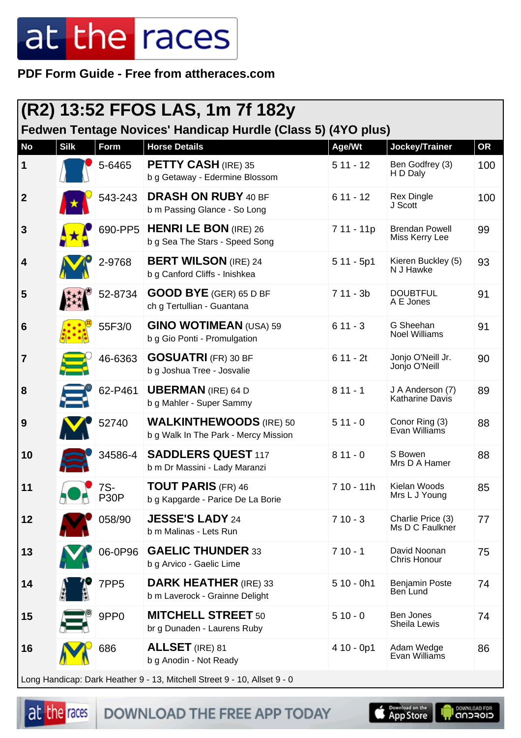**PDF Form Guide - Free from attheraces.com**

|                | (R2) 13:52 FFOS LAS, 1m 7f 182y<br>Fedwen Tentage Novices' Handicap Hurdle (Class 5) (4YO plus) |                  |                                                                        |             |                                            |     |  |
|----------------|-------------------------------------------------------------------------------------------------|------------------|------------------------------------------------------------------------|-------------|--------------------------------------------|-----|--|
| <b>No</b>      | <b>Silk</b>                                                                                     | Form             | <b>Horse Details</b>                                                   | Age/Wt      | Jockey/Trainer                             | OR  |  |
| 1              |                                                                                                 | 5-6465           | <b>PETTY CASH</b> (IRE) 35<br>b g Getaway - Edermine Blossom           | $511 - 12$  | Ben Godfrey (3)<br>H D Daly                | 100 |  |
| $\mathbf{2}$   |                                                                                                 | 543-243          | <b>DRASH ON RUBY 40 BF</b><br>b m Passing Glance - So Long             | $611 - 12$  | <b>Rex Dingle</b><br>J Scott               | 100 |  |
| 3              |                                                                                                 | 690-PP5          | <b>HENRI LE BON</b> (IRE) 26<br>b g Sea The Stars - Speed Song         | 7 11 - 11p  | <b>Brendan Powell</b><br>Miss Kerry Lee    | 99  |  |
| 4              |                                                                                                 | 2-9768           | <b>BERT WILSON</b> (IRE) 24<br>b g Canford Cliffs - Inishkea           | $511 - 5p1$ | Kieren Buckley (5)<br>N J Hawke            | 93  |  |
| 5              |                                                                                                 | 52-8734          | <b>GOOD BYE</b> (GER) 65 D BF<br>ch g Tertullian - Guantana            | $711 - 3b$  | <b>DOUBTFUL</b><br>A E Jones               | 91  |  |
| 6              |                                                                                                 | 55F3/0           | <b>GINO WOTIMEAN (USA) 59</b><br>b g Gio Ponti - Promulgation          | $611 - 3$   | G Sheehan<br><b>Noel Williams</b>          | 91  |  |
| $\overline{7}$ |                                                                                                 | 46-6363          | <b>GOSUATRI (FR) 30 BF</b><br>b g Joshua Tree - Josvalie               | $611 - 2t$  | Jonjo O'Neill Jr.<br>Jonjo O'Neill         | 90  |  |
| 8              |                                                                                                 | 62-P461          | <b>UBERMAN</b> (IRE) 64 D<br>b g Mahler - Super Sammy                  | $811 - 1$   | J A Anderson (7)<br><b>Katharine Davis</b> | 89  |  |
| 9              |                                                                                                 | 52740            | <b>WALKINTHEWOODS</b> (IRE) 50<br>b g Walk In The Park - Mercy Mission | $511 - 0$   | Conor Ring (3)<br>Evan Williams            | 88  |  |
| 10             |                                                                                                 | 34586-4          | <b>SADDLERS QUEST 117</b><br>b m Dr Massini - Lady Maranzi             | $811 - 0$   | S Bowen<br>Mrs D A Hamer                   | 88  |  |
| 11             |                                                                                                 | 7S-<br>P30P      | <b>TOUT PARIS (FR) 46</b><br>b g Kapgarde - Parice De La Borie         | 7 10 - 11h  | Kielan Woods<br>Mrs L J Young              | 85  |  |
| 12             |                                                                                                 | 058/90           | <b>JESSE'S LADY 24</b><br>b m Malinas - Lets Run                       | $710 - 3$   | Charlie Price (3)<br>Ms D C Faulkner       | 77  |  |
| 13             |                                                                                                 | 06-0P96          | <b>GAELIC THUNDER 33</b><br>b g Arvico - Gaelic Lime                   | $710 - 1$   | David Noonan<br>Chris Honour               | 75  |  |
| 14             |                                                                                                 | 7PP <sub>5</sub> | <b>DARK HEATHER</b> (IRE) 33<br>b m Laverock - Grainne Delight         | $510 - 0h1$ | <b>Benjamin Poste</b><br>Ben Lund          | 74  |  |
| 15             |                                                                                                 | 9PP <sub>0</sub> | <b>MITCHELL STREET 50</b><br>br g Dunaden - Laurens Ruby               | $510 - 0$   | Ben Jones<br>Sheila Lewis                  | 74  |  |
| 16             |                                                                                                 | 686              | <b>ALLSET</b> (IRE) 81<br>b g Anodin - Not Ready                       | $410 - 0p1$ | Adam Wedge<br>Evan Williams                | 86  |  |
|                |                                                                                                 |                  |                                                                        |             |                                            |     |  |

Long Handicap: Dark Heather 9 - 13, Mitchell Street 9 - 10, Allset 9 - 0

|  | at the races |
|--|--------------|
|  |              |

**DOWNLOAD THE FREE APP TODAY** 



DOWNLOAD FOR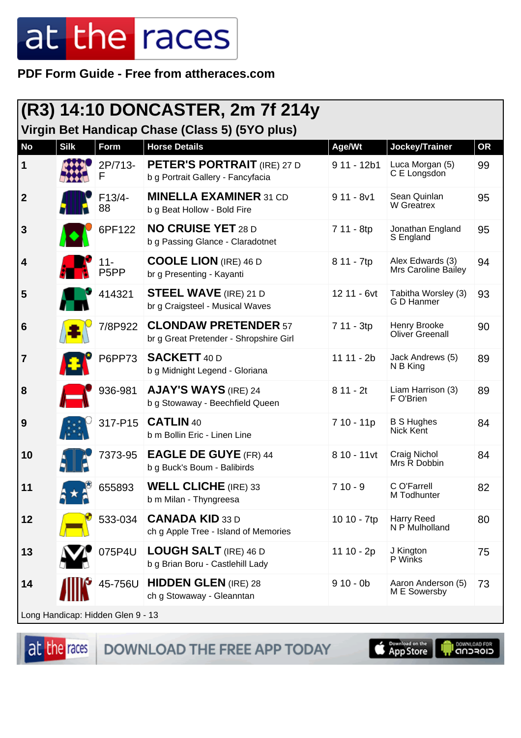**PDF Form Guide - Free from attheraces.com**

|                  | (R3) 14:10 DONCASTER, 2m 7f 214y<br>Virgin Bet Handicap Chase (Class 5) (5YO plus) |                                   |                                                                         |              |                                         |           |  |
|------------------|------------------------------------------------------------------------------------|-----------------------------------|-------------------------------------------------------------------------|--------------|-----------------------------------------|-----------|--|
| <b>No</b>        | <b>Silk</b>                                                                        | Form                              | <b>Horse Details</b>                                                    | Age/Wt       | Jockey/Trainer                          | <b>OR</b> |  |
| 1                |                                                                                    | 2P/713-<br>F                      | <b>PETER'S PORTRAIT</b> (IRE) 27 D<br>b g Portrait Gallery - Fancyfacia | 9 11 - 12b1  | Luca Morgan (5)<br>C E Longsdon         | 99        |  |
| $\boldsymbol{2}$ |                                                                                    | F13/4-<br>88                      | <b>MINELLA EXAMINER 31 CD</b><br>b g Beat Hollow - Bold Fire            | $911 - 8v1$  | Sean Quinlan<br>W Greatrex              | 95        |  |
| $\mathbf{3}$     |                                                                                    | 6PF122                            | <b>NO CRUISE YET 28 D</b><br>b g Passing Glance - Claradotnet           | 7 11 - 8tp   | Jonathan England<br>S England           | 95        |  |
| 4                |                                                                                    | $11 -$<br>P <sub>5</sub> PP       | <b>COOLE LION</b> (IRE) 46 D<br>br g Presenting - Kayanti               | 8 11 - 7tp   | Alex Edwards (3)<br>Mrs Caroline Bailey | 94        |  |
| 5                |                                                                                    | 414321                            | <b>STEEL WAVE</b> (IRE) 21 D<br>br g Craigsteel - Musical Waves         | 12 11 - 6vt  | Tabitha Worsley (3)<br>G D Hanmer       | 93        |  |
| $6\phantom{1}6$  |                                                                                    | 7/8P922                           | <b>CLONDAW PRETENDER 57</b><br>br g Great Pretender - Shropshire Girl   | 7 11 - 3tp   | Henry Brooke<br><b>Oliver Greenall</b>  | 90        |  |
| $\overline{7}$   |                                                                                    | <b>P6PP73</b>                     | <b>SACKETT 40 D</b><br>b g Midnight Legend - Gloriana                   | $11 11 - 2b$ | Jack Andrews (5)<br>N B King            | 89        |  |
| 8                |                                                                                    | 936-981                           | <b>AJAY'S WAYS (IRE) 24</b><br>b g Stowaway - Beechfield Queen          | $811 - 2t$   | Liam Harrison (3)<br>F O'Brien          | 89        |  |
| 9                |                                                                                    | 317-P15                           | <b>CATLIN 40</b><br>b m Bollin Eric - Linen Line                        | 7 10 - 11p   | <b>B S Hughes</b><br>Nick Kent          | 84        |  |
| 10               |                                                                                    | 7373-95                           | <b>EAGLE DE GUYE (FR) 44</b><br>b g Buck's Boum - Balibirds             | 8 10 - 11vt  | Craig Nichol<br>Mrs R Dobbin            | 84        |  |
| 11               |                                                                                    | 655893                            | <b>WELL CLICHE</b> (IRE) 33<br>b m Milan - Thyngreesa                   | $710 - 9$    | C O'Farrell<br>M Todhunter              | 82        |  |
| 12               |                                                                                    | 533-034                           | <b>CANADA KID 33 D</b><br>ch g Apple Tree - Island of Memories          | 10 10 - 7tp  | Harry Reed<br>N P Mulholland            | 80        |  |
| 13               |                                                                                    | 075P4U                            | <b>LOUGH SALT</b> (IRE) 46 D<br>b g Brian Boru - Castlehill Lady        | $11 10 - 2p$ | J Kington<br>P Winks                    | 75        |  |
| 14               |                                                                                    | 45-756U                           | <b>HIDDEN GLEN (IRE) 28</b><br>ch g Stowaway - Gleanntan                | $910 - 0b$   | Aaron Anderson (5)<br>M E Sowersby      | 73        |  |
|                  |                                                                                    | Long Handicap: Hidden Glen 9 - 13 |                                                                         |              |                                         |           |  |

at the races

DOWNLOAD THE FREE APP TODAY

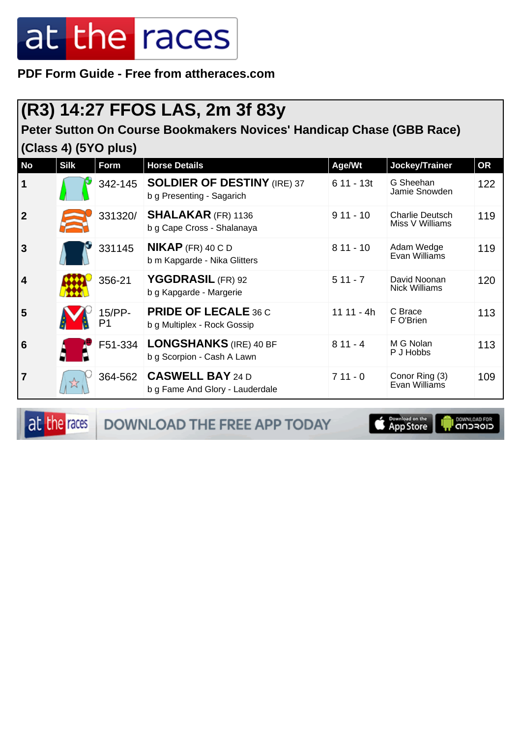**PDF Form Guide - Free from attheraces.com**

### **(R3) 14:27 FFOS LAS, 2m 3f 83y**

#### **Peter Sutton On Course Bookmakers Novices' Handicap Chase (GBB Race) (Class 4) (5YO plus)**

| <b>No</b>               | $\sqrt{ }$<br><b>Silk</b> | Form         | <b>Horse Details</b>                                            | Age/Wt       | Jockey/Trainer                            | <b>OR</b> |
|-------------------------|---------------------------|--------------|-----------------------------------------------------------------|--------------|-------------------------------------------|-----------|
| $\mathbf 1$             |                           | 342-145      | <b>SOLDIER OF DESTINY (IRE) 37</b><br>b g Presenting - Sagarich | $611 - 13t$  | G Sheehan<br>Jamie Snowden                | 122       |
| $\overline{2}$          |                           | 331320/      | <b>SHALAKAR (FR) 1136</b><br>b g Cape Cross - Shalanaya         | $911 - 10$   | <b>Charlie Deutsch</b><br>Miss V Williams | 119       |
| $\overline{3}$          |                           | 331145       | $NIKAP$ (FR) 40 C D<br>b m Kapgarde - Nika Glitters             | $811 - 10$   | Adam Wedge<br>Evan Williams               | 119       |
| $\overline{\mathbf{4}}$ |                           | 356-21       | YGGDRASIL (FR) 92<br>b g Kapgarde - Margerie                    | $511 - 7$    | David Noonan<br><b>Nick Williams</b>      | 120       |
| 5                       |                           | 15/PP-<br>P1 | <b>PRIDE OF LECALE 36 C</b><br>b g Multiplex - Rock Gossip      | $11 11 - 4h$ | C Brace<br>F O'Brien                      | 113       |
| $6\phantom{1}6$         |                           | F51-334      | <b>LONGSHANKS</b> (IRE) 40 BF<br>b g Scorpion - Cash A Lawn     | $811 - 4$    | M G Nolan<br>P J Hobbs                    | 113       |
| $\overline{7}$          |                           | 364-562      | <b>CASWELL BAY 24 D</b><br>b g Fame And Glory - Lauderdale      | $711 - 0$    | Conor Ring (3)<br>Evan Williams           | 109       |

at the races

DOWNLOAD THE FREE APP TODAY

**DOWNLOAD FOR** App Store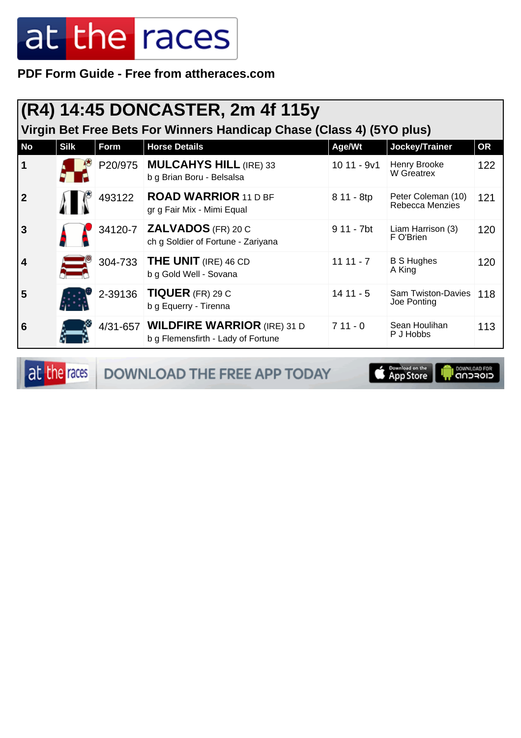**PDF Form Guide - Free from attheraces.com**

|           | (R4) 14:45 DONCASTER, 2m 4f 115y<br>Virgin Bet Free Bets For Winners Handicap Chase (Class 4) (5YO plus) |         |                                                                            |             |                                          |           |  |  |
|-----------|----------------------------------------------------------------------------------------------------------|---------|----------------------------------------------------------------------------|-------------|------------------------------------------|-----------|--|--|
| <b>No</b> | <b>Silk</b>                                                                                              | Form    | <b>Horse Details</b>                                                       | Age/Wt      | Jockey/Trainer                           | <b>OR</b> |  |  |
|           |                                                                                                          |         | P20/975   MULCAHYS HILL (IRE) 33<br>b g Brian Boru - Belsalsa              | 10 11 - 9v1 | Henry Brooke<br>W Greatrex               | 122       |  |  |
| 2         |                                                                                                          | 493122  | <b>ROAD WARRIOR 11 D BF</b><br>gr g Fair Mix - Mimi Equal                  | 8 11 - 8tp  | Peter Coleman (10)<br>Rebecca Menzies    | 121       |  |  |
| 3         |                                                                                                          | 34120-7 | <b>ZALVADOS</b> (FR) 20 C<br>ch g Soldier of Fortune - Zariyana            | 9 11 - 7bt  | Liam Harrison (3)<br>F O'Brien           | 120       |  |  |
| 4         |                                                                                                          | 304-733 | <b>THE UNIT</b> (IRE) 46 CD<br>b g Gold Well - Sovana                      | $1111 - 7$  | <b>B S Hughes</b><br>A King              | 120       |  |  |
| 5         |                                                                                                          |         | 2-39136   TIQUER (FR) 29 C<br>b g Equerry - Tirenna                        | $1411 - 5$  | <b>Sam Twiston-Davies</b><br>Joe Ponting | 118       |  |  |
| 6         |                                                                                                          |         | 4/31-657 WILDFIRE WARRIOR (IRE) 31 D<br>b g Flemensfirth - Lady of Fortune | $711 - 0$   | Sean Houlihan<br>P J Hobbs               | 113       |  |  |

at the races DOWNLOAD THE FREE APP TODAY

App Store **SOMNLOAD FOR**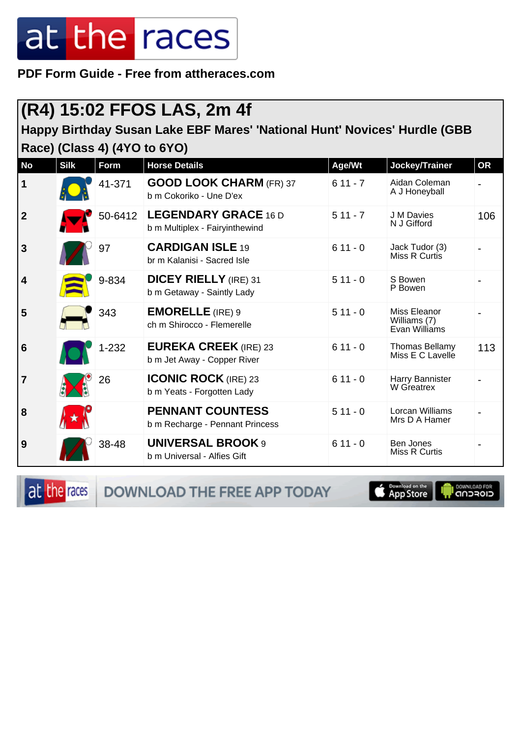**PDF Form Guide - Free from attheraces.com**

#### **(R4) 15:02 FFOS LAS, 2m 4f**

**Happy Birthday Susan Lake EBF Mares' 'National Hunt' Novices' Hurdle (GBB Race) (Class 4) (4YO to 6YO)**

| <b>No</b>               | <b>Silk</b> | <b>Form</b> | <b>Horse Details</b>                                          | Age/Wt    | Jockey/Trainer                                | <b>OR</b> |
|-------------------------|-------------|-------------|---------------------------------------------------------------|-----------|-----------------------------------------------|-----------|
| $\mathbf 1$             |             | 41-371      | <b>GOOD LOOK CHARM (FR) 37</b><br>b m Cokoriko - Une D'ex     | $611 - 7$ | Aidan Coleman<br>A J Honeyball                |           |
| $\boldsymbol{2}$        |             | 50-6412     | <b>LEGENDARY GRACE 16 D</b><br>b m Multiplex - Fairyinthewind | $511 - 7$ | J M Davies<br>N J Gifford                     | 106       |
| $\mathbf{3}$            |             | 97          | <b>CARDIGAN ISLE 19</b><br>br m Kalanisi - Sacred Isle        | $611 - 0$ | Jack Tudor (3)<br>Miss R Curtis               |           |
| $\overline{\mathbf{4}}$ |             | 9-834       | <b>DICEY RIELLY</b> (IRE) 31<br>b m Getaway - Saintly Lady    | $511 - 0$ | S Bowen<br>P Bowen                            |           |
| 5                       |             | 343         | <b>EMORELLE</b> (IRE) 9<br>ch m Shirocco - Flemerelle         | $511 - 0$ | Miss Eleanor<br>Williams (7)<br>Evan Williams |           |
| $6\phantom{1}6$         |             | $1 - 232$   | <b>EUREKA CREEK (IRE) 23</b><br>b m Jet Away - Copper River   | $611 - 0$ | <b>Thomas Bellamy</b><br>Miss E C Lavelle     | 113       |
| $\overline{7}$          |             | 26          | <b>ICONIC ROCK</b> (IRE) 23<br>b m Yeats - Forgotten Lady     | $611 - 0$ | Harry Bannister<br>W Greatrex                 |           |
| 8                       |             |             | <b>PENNANT COUNTESS</b><br>b m Recharge - Pennant Princess    | $511 - 0$ | Lorcan Williams<br>Mrs D A Hamer              |           |
| 9                       |             | 38-48       | <b>UNIVERSAL BROOK 9</b><br>b m Universal - Alfies Gift       | $611 - 0$ | Ben Jones<br>Miss R Curtis                    |           |

at the races

DOWNLOAD THE FREE APP TODAY

**Completed on the** 

**OOWNLOAD FOR**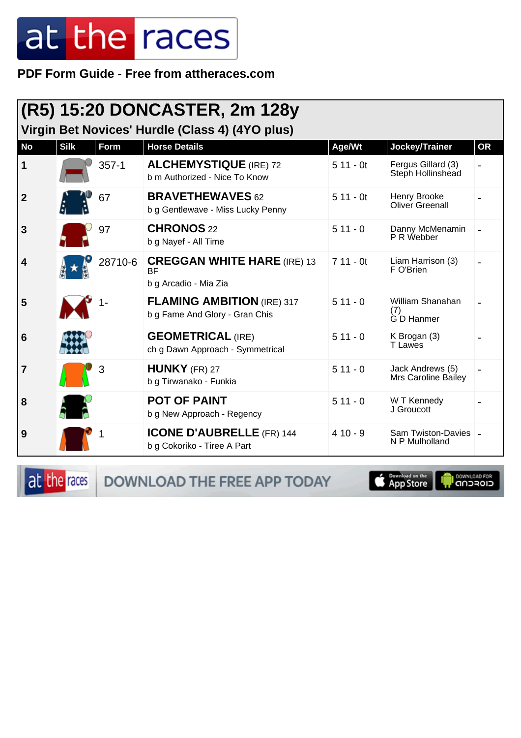PDF Form Guide - Free from attheraces.com

| (R5) 15:20 DONCASTER, 2m 128y<br>Virgin Bet Novices' Hurdle (Class 4) (4YO plus) |             |           |                                                                          |            |                                          |           |  |
|----------------------------------------------------------------------------------|-------------|-----------|--------------------------------------------------------------------------|------------|------------------------------------------|-----------|--|
| <b>No</b>                                                                        | <b>Silk</b> | Form      | <b>Horse Details</b>                                                     | Age/Wt     | Jockey/Trainer                           | <b>OR</b> |  |
| $\vert$ 1                                                                        |             | $357 - 1$ | <b>ALCHEMYSTIQUE</b> (IRE) 72<br>b m Authorized - Nice To Know           | $511 - 0t$ | Fergus Gillard (3)<br>Steph Hollinshead  |           |  |
| $\overline{2}$                                                                   |             | 67        | <b>BRAVETHEWAVES 62</b><br>b g Gentlewave - Miss Lucky Penny             | $511 - 0t$ | Henry Brooke<br>Oliver Greenall          |           |  |
| 3                                                                                |             | 97        | <b>CHRONOS 22</b><br>b g Nayef - All Time                                | $511 - 0$  | Danny McMenamin<br>P R Webber            |           |  |
| 4                                                                                |             | 28710-6   | <b>CREGGAN WHITE HARE (IRE) 13</b><br><b>BF</b><br>b g Arcadio - Mia Zia | $711 - 0t$ | Liam Harrison (3)<br>F O'Brien           |           |  |
| 5                                                                                |             |           | <b>FLAMING AMBITION (IRE) 317</b><br>b g Fame And Glory - Gran Chis      | $511 - 0$  | William Shanahan<br>(7)<br>G D Hanmer    |           |  |
| $6\phantom{1}6$                                                                  |             |           | <b>GEOMETRICAL (IRE)</b><br>ch g Dawn Approach - Symmetrical             | $511 - 0$  | K Brogan (3)<br><b>T</b> Lawes           |           |  |
| $\overline{7}$                                                                   |             | 3         | $HUNKY$ (FR) 27<br>b g Tirwanako - Funkia                                | $511 - 0$  | Jack Andrews (5)<br>Mrs Caroline Bailey  |           |  |
| 8                                                                                |             |           | <b>POT OF PAINT</b><br>b g New Approach - Regency                        | $511 - 0$  | W T Kennedy<br>J Groucott                |           |  |
| 9                                                                                |             |           | <b>ICONE D'AUBRELLE (FR) 144</b><br>b g Cokoriko - Tiree A Part          | $410 - 9$  | Sam Twiston-Davies   -<br>N P Mulholland |           |  |

at the races

DOWNLOAD THE FREE APP TODAY

App Store

**OWNLOAD FOR**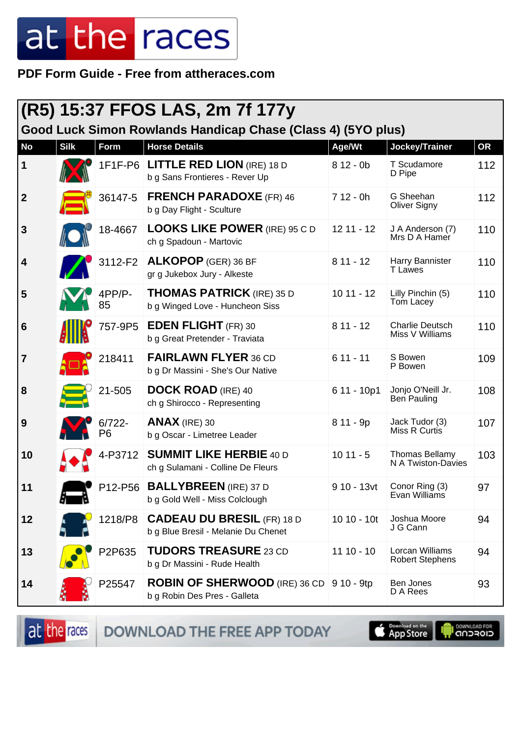PDF Form Guide - Free from attheraces.com

|                |             |                             | (R5) 15:37 FFOS LAS, 2m 7f 177y                                                 |              |                                             |           |
|----------------|-------------|-----------------------------|---------------------------------------------------------------------------------|--------------|---------------------------------------------|-----------|
|                |             |                             | Good Luck Simon Rowlands Handicap Chase (Class 4) (5YO plus)                    |              |                                             |           |
| <b>No</b>      | <b>Silk</b> | Form                        | <b>Horse Details</b>                                                            | Age/Wt       | Jockey/Trainer                              | <b>OR</b> |
| $\mathbf 1$    |             | 1F1F-P6                     | <b>LITTLE RED LION (IRE) 18 D</b><br>b g Sans Frontieres - Rever Up             | $812 - 0b$   | T Scudamore<br>D Pipe                       | 112       |
| $\mathbf{2}$   |             | 36147-5                     | <b>FRENCH PARADOXE (FR) 46</b><br>b g Day Flight - Sculture                     | $712 - 0h$   | G Sheehan<br>Oliver Signy                   | 112       |
| 3              |             | 18-4667                     | <b>LOOKS LIKE POWER (IRE) 95 C D</b><br>ch g Spadoun - Martovic                 | $12$ 11 - 12 | J A Anderson (7)<br>Mrs D A Hamer           | 110       |
| 4              |             | 3112-F2                     | <b>ALKOPOP</b> (GER) 36 BF<br>gr g Jukebox Jury - Alkeste                       | $811 - 12$   | Harry Bannister<br><b>T</b> Lawes           | 110       |
| 5              |             | 4PP/P-<br>85                | <b>THOMAS PATRICK (IRE) 35 D</b><br>b g Winged Love - Huncheon Siss             | $1011 - 12$  | Lilly Pinchin (5)<br>Tom Lacey              | 110       |
| 6              |             | 757-9P5                     | <b>EDEN FLIGHT</b> (FR) 30<br>b g Great Pretender - Traviata                    | $811 - 12$   | <b>Charlie Deutsch</b><br>Miss V Williams   | 110       |
| $\overline{7}$ |             | 218411                      | <b>FAIRLAWN FLYER 36 CD</b><br>b g Dr Massini - She's Our Native                | $611 - 11$   | S Bowen<br>P Bowen                          | 109       |
| 8              |             | 21-505                      | <b>DOCK ROAD (IRE) 40</b><br>ch g Shirocco - Representing                       | 6 11 - 10p1  | Jonjo O'Neill Jr.<br>Ben Pauling            | 108       |
| 9              |             | $6/722 -$<br>P <sub>6</sub> | $ANAX$ (IRE) 30<br>b g Oscar - Limetree Leader                                  | 8 11 - 9p    | Jack Tudor (3)<br>Miss R Curtis             | 107       |
| 10             |             | 4-P3712                     | <b>SUMMIT LIKE HERBIE 40 D</b><br>ch g Sulamani - Colline De Fleurs             | $1011 - 5$   | <b>Thomas Bellamy</b><br>N A Twiston-Davies | 103       |
| 11             |             | P12-P56                     | <b>BALLYBREEN</b> (IRE) 37 D<br>b g Gold Well - Miss Colclough                  | 9 10 - 13vt  | Conor Ring (3)<br>Evan Williams             | 97        |
| 12             |             | 1218/P8                     | <b>CADEAU DU BRESIL (FR) 18 D</b><br>b g Blue Bresil - Melanie Du Chenet        | $1010 - 10t$ | Joshua Moore<br>J G Cann                    | 94        |
| 13             |             | P2P635                      | <b>TUDORS TREASURE 23 CD</b><br>b g Dr Massini - Rude Health                    | $1110 - 10$  | Lorcan Williams<br><b>Robert Stephens</b>   | 94        |
| 14             |             | P25547                      | <b>ROBIN OF SHERWOOD</b> (IRE) 36 CD 9 10 - 9tp<br>b g Robin Des Pres - Galleta |              | Ben Jones<br>D A Rees                       | 93        |

at the races

DOWNLOAD THE FREE APP TODAY

**Completed on the OOWNLOAD FOR**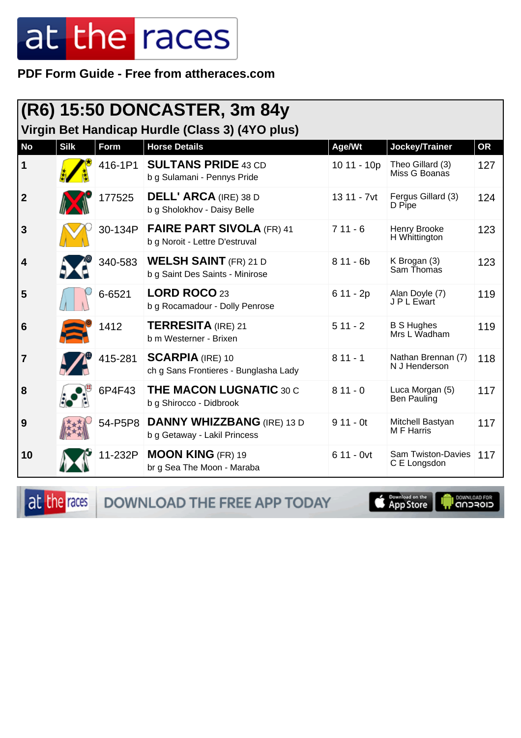PDF Form Guide - Free from attheraces.com

|                         | (R6) 15:50 DONCASTER, 3m 84y |         |                                                                         |             |                                           |           |  |
|-------------------------|------------------------------|---------|-------------------------------------------------------------------------|-------------|-------------------------------------------|-----------|--|
| <b>No</b>               | <b>Silk</b>                  | Form    | Virgin Bet Handicap Hurdle (Class 3) (4YO plus)<br><b>Horse Details</b> | Age/Wt      | Jockey/Trainer                            | <b>OR</b> |  |
| $\vert$ 1               |                              | 416-1P1 | <b>SULTANS PRIDE 43 CD</b><br>b g Sulamani - Pennys Pride               | 10 11 - 10p | Theo Gillard (3)<br>Miss G Boanas         | 127       |  |
| $\overline{2}$          |                              | 177525  | <b>DELL' ARCA (IRE) 38 D</b><br>b g Sholokhov - Daisy Belle             | 13 11 - 7vt | Fergus Gillard (3)<br>D Pipe              | 124       |  |
| 3                       |                              | 30-134P | <b>FAIRE PART SIVOLA (FR) 41</b><br>b g Noroit - Lettre D'estruval      | $711 - 6$   | Henry Brooke<br>H Whittington             | 123       |  |
| $\overline{\mathbf{4}}$ |                              | 340-583 | <b>WELSH SAINT</b> (FR) 21 D<br>b g Saint Des Saints - Minirose         | $811 - 6b$  | K Brogan (3)<br>Sam Thomas                | 123       |  |
| 5                       |                              | 6-6521  | LORD ROCO 23<br>b g Rocamadour - Dolly Penrose                          | $611 - 2p$  | Alan Doyle (7)<br>J P L Ewart             | 119       |  |
| $6\phantom{1}6$         |                              | 1412    | <b>TERRESITA</b> (IRE) 21<br>b m Westerner - Brixen                     | $511 - 2$   | <b>B S Hughes</b><br>Mrs L Wadham         | 119       |  |
| $\overline{7}$          |                              | 415-281 | <b>SCARPIA (IRE) 10</b><br>ch g Sans Frontieres - Bunglasha Lady        | $811 - 1$   | Nathan Brennan (7)<br>N J Henderson       | 118       |  |
| 8                       |                              | 6P4F43  | <b>THE MACON LUGNATIC 30 C</b><br>b g Shirocco - Didbrook               | $811 - 0$   | Luca Morgan (5)<br>Ben Pauling            | 117       |  |
| 9                       |                              | 54-P5P8 | <b>DANNY WHIZZBANG (IRE) 13 D</b><br>b g Getaway - Lakil Princess       | $911 - 0t$  | Mitchell Bastyan<br><b>MF</b> Harris      | 117       |  |
| 10                      |                              | 11-232P | <b>MOON KING (FR) 19</b><br>br g Sea The Moon - Maraba                  | $611 - 0vt$ | <b>Sam Twiston-Davies</b><br>C E Longsdon | 117       |  |

at the races DOWNLOAD THE FREE APP TODAY

App Store

**DOWNLOAD FOR**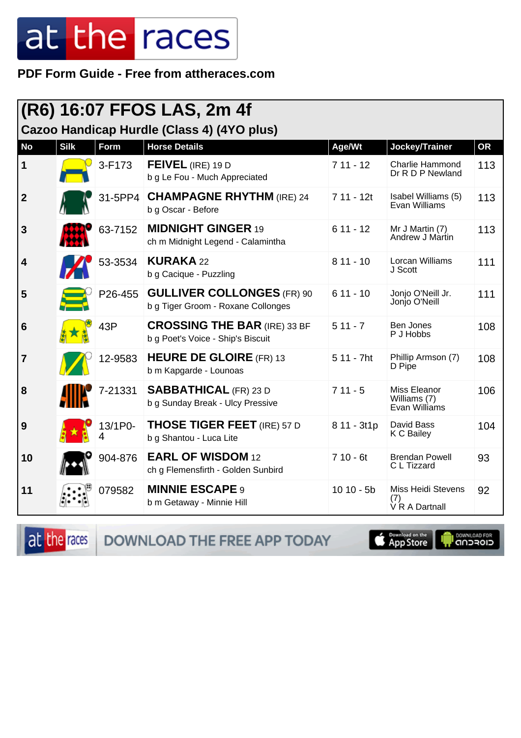PDF Form Guide - Free from attheraces.com

| (R6) 16:07 FFOS LAS, 2m 4f                 |             |         |                                                                          |             |                                                    |           |  |  |
|--------------------------------------------|-------------|---------|--------------------------------------------------------------------------|-------------|----------------------------------------------------|-----------|--|--|
| Cazoo Handicap Hurdle (Class 4) (4YO plus) |             |         |                                                                          |             |                                                    |           |  |  |
| <b>No</b>                                  | <b>Silk</b> | Form    | <b>Horse Details</b>                                                     | Age/Wt      | Jockey/Trainer                                     | <b>OR</b> |  |  |
| 1                                          |             | 3-F173  | FEIVEL (IRE) 19 D<br>b g Le Fou - Much Appreciated                       | $711 - 12$  | <b>Charlie Hammond</b><br>Dr R D P Newland         | 113       |  |  |
| $\boldsymbol{2}$                           |             | 31-5PP4 | <b>CHAMPAGNE RHYTHM (IRE) 24</b><br>b g Oscar - Before                   | $711 - 12t$ | Isabel Williams (5)<br>Evan Williams               | 113       |  |  |
| 3                                          |             | 63-7152 | <b>MIDNIGHT GINGER 19</b><br>ch m Midnight Legend - Calamintha           | $611 - 12$  | Mr J Martin (7)<br>Andrew J Martin                 | 113       |  |  |
| 4                                          |             | 53-3534 | <b>KURAKA 22</b><br>b g Cacique - Puzzling                               | $811 - 10$  | Lorcan Williams<br>J Scott                         | 111       |  |  |
| 5                                          |             | P26-455 | <b>GULLIVER COLLONGES (FR) 90</b><br>b g Tiger Groom - Roxane Collonges  | $611 - 10$  | Jonjo O'Neill Jr.<br>Jonjo O'Neill                 | 111       |  |  |
| 6                                          |             | 43P     | <b>CROSSING THE BAR (IRE) 33 BF</b><br>b g Poet's Voice - Ship's Biscuit | $511 - 7$   | Ben Jones<br>P J Hobbs                             | 108       |  |  |
| $\overline{7}$                             |             | 12-9583 | <b>HEURE DE GLOIRE (FR) 13</b><br>b m Kapgarde - Lounoas                 | 5 11 - 7ht  | Phillip Armson (7)<br>D Pipe                       | 108       |  |  |
| 8                                          |             | 7-21331 | <b>SABBATHICAL (FR) 23 D</b><br>b g Sunday Break - Ulcy Pressive         | $711 - 5$   | Miss Eleanor<br>Williams (7)<br>Evan Williams      | 106       |  |  |
| 9                                          |             | 13/1P0- | <b>THOSE TIGER FEET</b> (IRE) 57 D<br>b g Shantou - Luca Lite            | 8 11 - 3t1p | David Bass<br>K C Bailey                           | 104       |  |  |
| 10                                         |             | 904-876 | <b>EARL OF WISDOM 12</b><br>ch g Flemensfirth - Golden Sunbird           | $710 - 6t$  | <b>Brendan Powell</b><br>C L Tizzard               | 93        |  |  |
| 11                                         |             | 079582  | <b>MINNIE ESCAPE 9</b><br>b m Getaway - Minnie Hill                      | $1010 - 5b$ | <b>Miss Heidi Stevens</b><br>(7)<br>V R A Dartnall | 92        |  |  |

at the races

DOWNLOAD THE FREE APP TODAY

App Store **I** DOWNLOAD FOR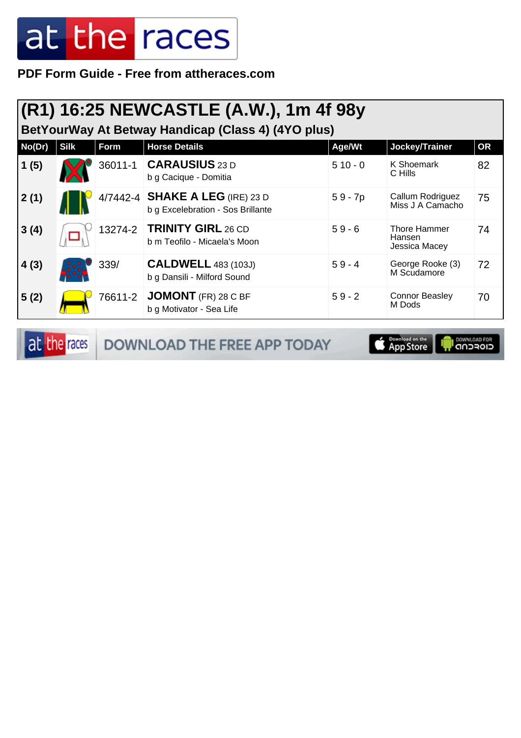**PDF Form Guide - Free from attheraces.com**

#### **(R1) 16:25 NEWCASTLE (A.W.), 1m 4f 98y**

**BetYourWay At Betway Handicap (Class 4) (4YO plus)**

| No(Dr) | <b>Silk</b> | Form    | <b>Horse Details</b>                                                 | Age/Wt    | Jockey/Trainer                                 | <b>OR</b> |
|--------|-------------|---------|----------------------------------------------------------------------|-----------|------------------------------------------------|-----------|
| 1(5)   |             | 36011-1 | <b>CARAUSIUS</b> 23 D<br>b g Cacique - Domitia                       | $510 - 0$ | K Shoemark<br>C Hills                          | 82        |
| 2(1)   |             |         | 4/7442-4 SHAKE A LEG (IRE) 23 D<br>b g Excelebration - Sos Brillante | $59 - 7p$ | Callum Rodriguez<br>Miss J A Camacho           | 75        |
| 3(4)   |             | 13274-2 | <b>TRINITY GIRL 26 CD</b><br>b m Teofilo - Micaela's Moon            | $59 - 6$  | <b>Thore Hammer</b><br>Hansen<br>Jessica Macey | 74        |
| 4(3)   |             | 339/    | <b>CALDWELL 483 (103J)</b><br>b g Dansili - Milford Sound            | $59 - 4$  | George Rooke (3)<br>M Scudamore                | 72        |
| 5(2)   |             | 76611-2 | JOMONT (FR) 28 C BF<br>b g Motivator - Sea Life                      | $59 - 2$  | <b>Connor Beasley</b><br>M Dods                | 70        |

at the races DOWNLOAD THE FREE APP TODAY

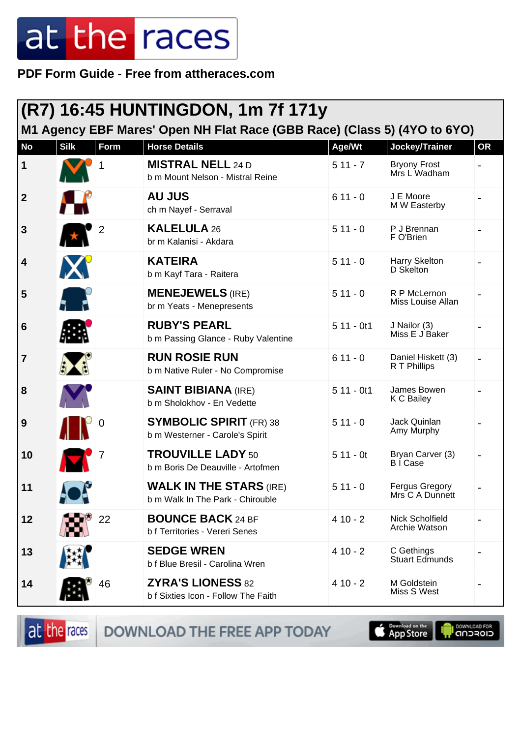**PDF Form Guide - Free from attheraces.com**

| (R7) 16:45 HUNTINGDON, 1m 7f 171y |             |                |                                                                                                  |                     |                                                       |           |
|-----------------------------------|-------------|----------------|--------------------------------------------------------------------------------------------------|---------------------|-------------------------------------------------------|-----------|
| <b>No</b>                         | <b>Silk</b> | Form           | M1 Agency EBF Mares' Open NH Flat Race (GBB Race) (Class 5) (4YO to 6YO)<br><b>Horse Details</b> |                     |                                                       | <b>OR</b> |
| 1                                 |             |                | <b>MISTRAL NELL 24 D</b><br>b m Mount Nelson - Mistral Reine                                     | Age/Wt<br>$511 - 7$ | Jockey/Trainer<br><b>Bryony Frost</b><br>Mrs L Wadham |           |
| $\mathbf{2}$                      | Н           |                | <b>AU JUS</b><br>ch m Nayef - Serraval                                                           | $611 - 0$           | J E Moore<br>M W Easterby                             |           |
| 3                                 | $\star$     | $\overline{2}$ | <b>KALELULA 26</b><br>br m Kalanisi - Akdara                                                     | $511 - 0$           | P J Brennan<br>F O'Brien                              |           |
| 4                                 | X           |                | <b>KATEIRA</b><br>b m Kayf Tara - Raitera                                                        | $511 - 0$           | Harry Skelton<br>D Skelton                            |           |
| 5                                 |             |                | <b>MENEJEWELS (IRE)</b><br>br m Yeats - Menepresents                                             | $511 - 0$           | R P McLernon<br>Miss Louise Allan                     |           |
| 6                                 |             |                | <b>RUBY'S PEARL</b><br>b m Passing Glance - Ruby Valentine                                       | $511 - 0t1$         | J Nailor (3)<br>Miss E J Baker                        |           |
| $\overline{\mathbf{7}}$           | $\bigoplus$ |                | <b>RUN ROSIE RUN</b><br>b m Native Ruler - No Compromise                                         | $611 - 0$           | Daniel Hiskett (3)<br>R T Phillips                    |           |
| 8                                 |             |                | <b>SAINT BIBIANA (IRE)</b><br>b m Sholokhov - En Vedette                                         | $511 - 0t1$         | James Bowen<br>K C Bailey                             |           |
| 9                                 |             |                | <b>SYMBOLIC SPIRIT (FR) 38</b><br>b m Westerner - Carole's Spirit                                | $511 - 0$           | Jack Quinlan<br>Amy Murphy                            |           |
| 10                                |             |                | <b>TROUVILLE LADY 50</b><br>b m Boris De Deauville - Artofmen                                    | $511 - 0t$          | Bryan Carver (3)<br>B I Case                          |           |
| 11                                | N.          |                | <b>WALK IN THE STARS (IRE)</b><br>b m Walk In The Park - Chirouble                               | $511 - 0$           | Fergus Gregory<br>Mrs C A Dunnett                     |           |
| 12                                |             | 22             | <b>BOUNCE BACK 24 BF</b><br>b f Territories - Vereri Senes                                       | $410 - 2$           | Nick Scholfield<br>Archie Watson                      |           |
| 13                                |             |                | <b>SEDGE WREN</b><br>b f Blue Bresil - Carolina Wren                                             | $410 - 2$           | C Gethings<br><b>Stuart Edmunds</b>                   |           |
| 14                                |             | 46             | <b>ZYRA'S LIONESS 82</b><br>b f Sixties Icon - Follow The Faith                                  | $410 - 2$           | M Goldstein<br>Miss S West                            |           |

at the races

DOWNLOAD THE FREE APP TODAY